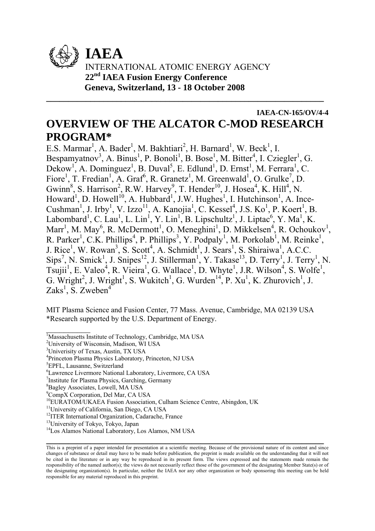

# **IAEA-CN-165/OV/4-4 OVERVIEW OF THE ALCATOR C-MOD RESEARCH PROGRAM\***

**\_\_\_\_\_\_\_\_\_\_\_\_\_\_\_\_\_\_\_\_\_\_\_\_\_\_\_\_\_\_\_\_\_\_\_\_\_\_\_\_\_\_\_\_\_\_\_\_\_\_\_\_\_\_\_\_\_\_\_\_\_\_\_** 

E.S. Marmar<sup>1</sup>, A. Bader<sup>1</sup>, M. Bakhtiari<sup>2</sup>, H. Barnard<sup>1</sup>, W. Beck<sup>1</sup>, I. Bespamyatnov<sup>3</sup>, A. Binus<sup>1</sup>, P. Bonoli<sup>1</sup>, B. Bose<sup>1</sup>, M. Bitter<sup>4</sup>, I. Cziegler<sup>1</sup>, G.  $Dekow<sup>1</sup>$ , A. Dominguez<sup>1</sup>, B. Duval<sup>5</sup>, E. Edlund<sup>1</sup>, D. Ernst<sup>1</sup>, M. Ferrara<sup>1</sup>, C. Fiore<sup>1</sup>, T. Fredian<sup>1</sup>, A. Graf<sup>6</sup>, R. Granetz<sup>1</sup>, M. Greenwald<sup>1</sup>, O. Grulke<sup>7</sup>, D. Gwinn<sup>8</sup>, S. Harrison<sup>2</sup>, R.W. Harvey<sup>9</sup>, T. Hender<sup>10</sup>, J. Hosea<sup>4</sup>, K. Hill<sup>4</sup>, N. Howard<sup>1</sup>, D. Howell<sup>10</sup>, A. Hubbard<sup>1</sup>, J.W. Hughes<sup>1</sup>, I. Hutchinson<sup>1</sup>, A. Ince-Cushman<sup>1</sup>, J. Irby<sup>1</sup>, V. Izzo<sup>11</sup>, A. Kanojia<sup>1</sup>, C. Kessel<sup>4</sup>, J.S. Ko<sup>1</sup>, P. Koert<sup>1</sup>, B. Labombard<sup>1</sup>, C. Lau<sup>1</sup>, L. Lin<sup>1</sup>, Y. Lin<sup>1</sup>, B. Lipschultz<sup>1</sup>, J. Liptac<sup>6</sup>, Y. Ma<sup>1</sup>, K. Marr<sup>1</sup>, M. May<sup>6</sup>, R. McDermott<sup>1</sup>, O. Meneghini<sup>1</sup>, D. Mikkelsen<sup>4</sup>, R. Ochoukov<sup>1</sup>, R. Parker<sup>1</sup>, C.K. Phillips<sup>4</sup>, P. Phillips<sup>3</sup>, Y. Podpaly<sup>1</sup>, M. Porkolab<sup>1</sup>, M. Reinke<sup>1</sup>, J. Rice<sup>1</sup>, W. Rowan<sup>3</sup>, S. Scott<sup>4</sup>, A. Schmidt<sup>1</sup>, J. Sears<sup>1</sup>, S. Shiraiwa<sup>1</sup>, A.C.C.  $\text{Sips}^7$ , N. Smick<sup>1</sup>, J. Snipes<sup>12</sup>, J. Stillerman<sup>1</sup>, Y. Takase<sup>13</sup>, D. Terry<sup>1</sup>, J. Terry<sup>1</sup>, N. Tsujii<sup>1</sup>, E. Valeo<sup>4</sup>, R. Vieira<sup>1</sup>, G. Wallace<sup>1</sup>, D. Whyte<sup>1</sup>, J.R. Wilson<sup>4</sup>, S. Wolfe<sup>1</sup>, G. Wright<sup>2</sup>, J. Wright<sup>1</sup>, S. Wukitch<sup>1</sup>, G. Wurden<sup>14</sup>, P. Xu<sup>1</sup>, K. Zhurovich<sup>1</sup>, J. Zaks<sup>1</sup>, S. Zweben<sup>4</sup>

MIT Plasma Science and Fusion Center, 77 Mass. Avenue, Cambridge, MA 02139 USA \*Research supported by the U.S. Department of Energy.

 $\frac{1}{2}$ 

**\_\_\_\_\_\_\_\_\_\_\_\_\_\_\_\_\_\_\_\_\_\_\_\_\_\_\_\_\_\_\_\_\_\_\_\_\_\_\_\_\_\_\_\_\_\_\_\_\_\_\_\_\_\_\_\_\_\_\_\_\_\_\_** 

<sup>&</sup>lt;sup>1</sup>Massachusetts Institute of Technology, Cambridge, MA USA

<sup>2</sup> University of Wisconsin, Madison, WI USA

<sup>&</sup>lt;sup>3</sup>Univerisity of Texas, Austin, TX USA

<sup>4</sup> Princeton Plasma Physics Laboratory, Princeton, NJ USA

<sup>5</sup> EPFL, Lausanne, Switzerland

<sup>6</sup> Lawrence Livermore National Laboratory, Livermore, CA USA

<sup>7</sup> Institute for Plasma Physics, Garching, Germany

<sup>8</sup> Bagley Associates, Lowell, MA USA

<sup>9</sup> CompX Corporation, Del Mar, CA USA

<sup>&</sup>lt;sup>10</sup>EURATOM/UKAEA Fusion Association, Culham Science Centre, Abingdon, UK

<sup>11</sup>University of California, San Diego, CA USA

<sup>&</sup>lt;sup>12</sup>ITER International Organization, Cadarache, France

<sup>13</sup>University of Tokyo, Tokyo, Japan

<sup>14</sup>Los Alamos National Laboratory, Los Alamos, NM USA

This is a preprint of a paper intended for presentation at a scientific meeting. Because of the provisional nature of its content and since changes of substance or detail may have to be made before publication, the preprint is made available on the understanding that it will not be cited in the literature or in any way be reproduced in its present form. The views expressed and the statements made remain the responsibility of the named author(s); the views do not necessarily reflect those of the government of the designating Member State(s) or of the designating organization(s). In particular, neither the IAEA nor any other organization or body sponsoring this meeting can be held responsible for any material reproduced in this preprint.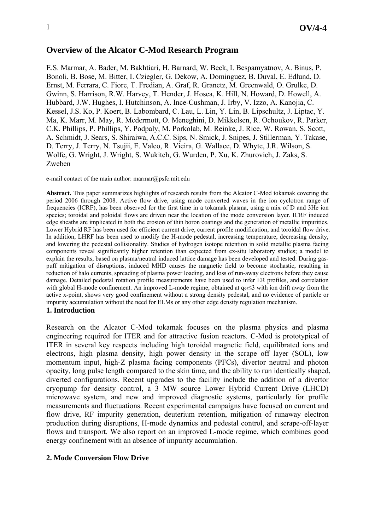## **Overview of the Alcator C-Mod Research Program**

E.S. Marmar, A. Bader, M. Bakhtiari, H. Barnard, W. Beck, I. Bespamyatnov, A. Binus, P. Bonoli, B. Bose, M. Bitter, I. Cziegler, G. Dekow, A. Dominguez, B. Duval, E. Edlund, D. Ernst, M. Ferrara, C. Fiore, T. Fredian, A. Graf, R. Granetz, M. Greenwald, O. Grulke, D. Gwinn, S. Harrison, R.W. Harvey, T. Hender, J. Hosea, K. Hill, N. Howard, D. Howell, A. Hubbard, J.W. Hughes, I. Hutchinson, A. Ince-Cushman, J. Irby, V. Izzo, A. Kanojia, C. Kessel, J.S. Ko, P. Koert, B. Labombard, C. Lau, L. Lin, Y. Lin, B. Lipschultz, J. Liptac, Y. Ma, K. Marr, M. May, R. Mcdermott, O. Meneghini, D. Mikkelsen, R. Ochoukov, R. Parker, C.K. Phillips, P. Phillips, Y. Podpaly, M. Porkolab, M. Reinke, J. Rice, W. Rowan, S. Scott, A. Schmidt, J. Sears, S. Shiraiwa, A.C.C. Sips, N. Smick, J. Snipes, J. Stillerman, Y. Takase, D. Terry, J. Terry, N. Tsujii, E. Valeo, R. Vieira, G. Wallace, D. Whyte, J.R. Wilson, S. Wolfe, G. Wright, J. Wright, S. Wukitch, G. Wurden, P. Xu, K. Zhurovich, J. Zaks, S. Zweben

e-mail contact of the main author: marmar@psfc.mit.edu

**Abstract.** This paper summarizes highlights of research results from the Alcator C-Mod tokamak covering the period 2006 through 2008. Active flow drive, using mode converted waves in the ion cyclotron range of frequencies (ICRF), has been observed for the first time in a tokamak plasma, using a mix of D and 3He ion species; toroidal and poloidal flows are driven near the location of the mode conversion layer. ICRF induced edge sheaths are implicated in both the erosion of thin boron coatings and the generation of metallic impurities. Lower Hybrid RF has been used for efficient current drive, current profile modification, and toroidal flow drive. In addition, LHRF has been used to modify the H-mode pedestal, increasing temperature, decreasing density, and lowering the pedestal collisionality. Studies of hydrogen isotope retention in solid metallic plasma facing components reveal significantly higher retention than expected from ex-situ laboratory studies; a model to explain the results, based on plasma/neutral induced lattice damage has been developed and tested. During gaspuff mitigation of disruptions, induced MHD causes the magnetic field to become stochastic, resulting in reduction of halo currents, spreading of plasma power loading, and loss of run-away electrons before they cause damage. Detailed pedestal rotation profile measurements have been used to infer ER profiles, and correlation with global H-mode confinement. An improved L-mode regime, obtained at q<sub>95</sub>≤3 with ion drift away from the active x-point, shows very good confinement without a strong density pedestal, and no evidence of particle or impurity accumulation without the need for ELMs or any other edge density regulation mechanism.

## **1. Introduction**

Research on the Alcator C-Mod tokamak focuses on the plasma physics and plasma engineering required for ITER and for attractive fusion reactors. C-Mod is prototypical of ITER in several key respects including high toroidal magnetic field, equilibrated ions and electrons, high plasma density, high power density in the scrape off layer (SOL), low momentum input, high-Z plasma facing components (PFCs), divertor neutral and photon opacity, long pulse length compared to the skin time, and the ability to run identically shaped, diverted configurations. Recent upgrades to the facility include the addition of a divertor cryopump for density control, a 3 MW source Lower Hybrid Current Drive (LHCD) microwave system, and new and improved diagnostic systems, particularly for profile measurements and fluctuations. Recent experimental campaigns have focused on current and flow drive, RF impurity generation, deuterium retention, mitigation of runaway electron production during disruptions, H-mode dynamics and pedestal control, and scrape-off-layer flows and transport. We also report on an improved L-mode regime, which combines good energy confinement with an absence of impurity accumulation.

## **2. Mode Conversion Flow Drive**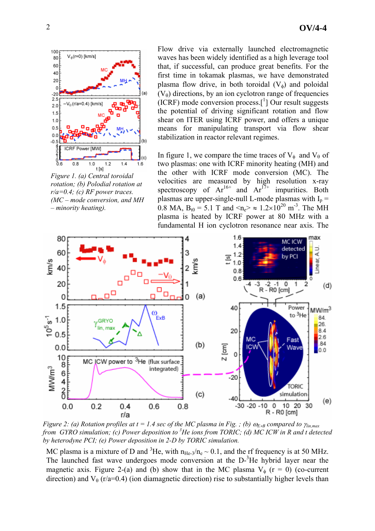

*Figure 1. (a) Central toroidal rotation; (b) Polodial rotation at r/a=0.4; (c) RF power traces. (MC – mode conversion, and MH – minority heating).* 

Flow drive via externally launched electromagnetic waves has been widely identified as a high leverage tool that, if successful, can produce great benefits. For the first time in tokamak plasmas, we have demonstrated plasma flow drive, in both toroidal  $(V_{\phi})$  and poloidal  $(V_{\theta})$  directions, by an ion cyclotron range of frequencies (ICRF) mode conversion process.[1 ] Our result suggests the potential of driving significant rotation and flow shear on ITER using ICRF power, and offers a unique means for manipulating transport via flow shear stabilization in reactor relevant regimes.

In figure 1, we compare the time traces of  $V_{\phi}$  and  $V_{\theta}$  of two plasmas: one with ICRF minority heating (MH) and the other with ICRF mode conversion (MC). The velocities are measured by high resolution x-ray spectroscopy of  $Ar^{16+}$  and  $Ar^{17+}$  impurities. Both plasmas are upper-single-null L-mode plasmas with  $I_p =$ 0.8 MA,  $B_{t0} = 5.1$  T and  $\langle n_e \rangle \approx 1.2 \times 10^{20}$  m<sup>-3</sup>. The MH plasma is heated by ICRF power at 80 MHz with a fundamental H ion cyclotron resonance near axis. The



*Figure 2: (a) Rotation profiles at t = 1.4 sec of the MC plasma in Fig. ; (b)*  $\omega_{E \times B}$  *compared to*  $\gamma_{lin,max}$ *from GYRO simulation; (c) Power deposition to 3 He ions from TORIC; (d) MC ICW in R and t detected by heterodyne PCI; (e) Power deposition in 2-D by TORIC simulation.* 

MC plasma is a mixture of D and <sup>3</sup>He, with  $n_{He-3}/n_e \sim 0.1$ , and the rf frequency is at 50 MHz. The launched fast wave undergoes mode conversion at the D-<sup>3</sup>He hybrid layer near the magnetic axis. Figure 2-(a) and (b) show that in the MC plasma  $V_{\phi}$  (r = 0) (co-current direction) and  $V_\theta$  (r/a=0.4) (ion diamagnetic direction) rise to substantially higher levels than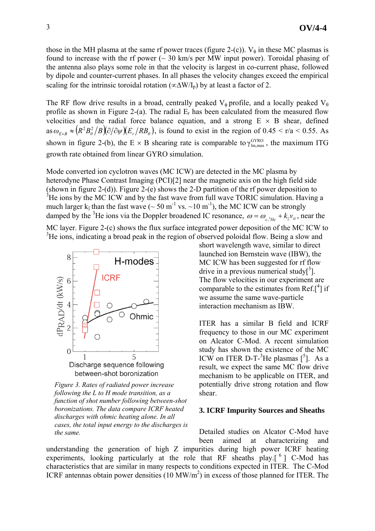those in the MH plasma at the same rf power traces (figure 2-(c)).  $V_{\phi}$  in these MC plasmas is found to increase with the rf power  $($   $\sim$  30 km/s per MW input power). Toroidal phasing of the antenna also plays some role in that the velocity is largest in co-current phase, followed by dipole and counter-current phases. In all phases the velocity changes exceed the empirical scaling for the intrinsic toroidal rotation ( $\propto \Delta W/I_p$ ) by at least a factor of 2.

The RF flow drive results in a broad, centrally peaked  $V_{\phi}$  profile, and a locally peaked  $V_{\theta}$ profile as shown in Figure 2-(a). The radial  $E_r$  has been calculated from the measured flow velocities and the radial force balance equation, and a strong  $E \times B$  shear, defined  $\cos \omega_{E \times B} \approx (R^2 B_\theta^2 / B)(\partial/\partial \psi)(E_r / RB_\theta)$ , is found to exist in the region of 0.45 < r/a < 0.55. As shown in figure 2-(b), the E  $\times$  B shearing rate is comparable to  $\gamma_{\text{lin,max}}^{\text{GYRO}}$ , the maximum ITG growth rate obtained from linear GYRO simulation.

Mode converted ion cyclotron waves (MC ICW) are detected in the MC plasma by heterodyne Phase Contrast Imaging (PCI)[2] near the magnetic axis on the high field side (shown in figure 2-(d)). Figure 2-(e) shows the 2-D partition of the rf power deposition to  $3$ He ions by the MC ICW and by the fast wave from full wave TORIC simulation. Having a much larger k<sub>||</sub> than the fast wave ( $\sim 50 \text{ m}^{-1}$  vs.  $\sim 10 \text{ m}^{-1}$ ), the MC ICW can be strongly damped by the <sup>3</sup>He ions via the Doppler broadened IC resonance,  $\omega = \omega_{c,{}^{3}He} + k_{\parallel}v_{ti}$ , near the MC layer. Figure 2-(c) shows the flux surface integrated power deposition of the MC ICW to

<sup>3</sup>He ions, indicating a broad peak in the region of observed poloidal flow. Being a slow and



*Figure 3. Rates of radiated power increase following the L to H mode transition, as a function of shot number following between-shot boronizations. The data compare ICRF heated discharges with ohmic heating alone. In all cases, the total input energy to the discharges is the same.* 

short wavelength wave, similar to direct launched ion Bernstein wave (IBW), the MC ICW has been suggested for rf flow drive in a previous numerical study $[^3]$ . The flow velocities in our experiment are comparable to the estimates from Ref. $\int_1^4$  if we assume the same wave-particle interaction mechanism as IBW.

ITER has a similar B field and ICRF frequency to those in our MC experiment on Alcator C-Mod. A recent simulation study has shown the existence of the MC ICW on ITER D-T- ${}^{3}$ He plasmas  $[{}^{5}]$ . As a result, we expect the same MC flow drive mechanism to be applicable on ITER, and potentially drive strong rotation and flow shear.

#### **3. ICRF Impurity Sources and Sheaths**

Detailed studies on Alcator C-Mod have been aimed at characterizing and

understanding the generation of high Z impurities during high power ICRF heating experiments, looking particularly at the role that RF sheaths play.<sup>[6</sup>] C-Mod has characteristics that are similar in many respects to conditions expected in ITER. The C-Mod ICRF antennas obtain power densities  $(10 \text{ MW/m}^2)$  in excess of those planned for ITER. The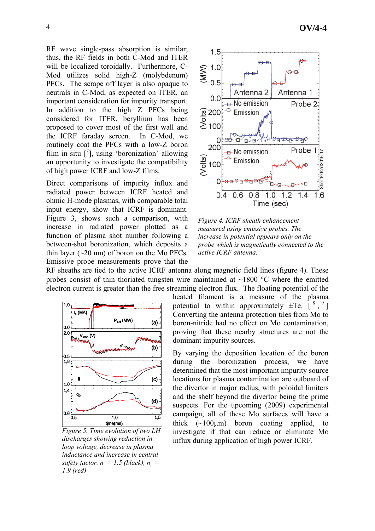RF wave single-pass absorption is similar; thus, the RF fields in both C-Mod and ITER will be localized toroidally. Furthermore, C-Mod utilizes solid high-Z (molybdenum) PFCs. The scrape off layer is also opaque to neutrals in C-Mod, as expected on ITER, an important consideration for impurity transport. In addition to the high Z PFCs being considered for ITER, beryllium has been proposed to cover most of the first wall and the ICRF faraday screen. In C-Mod, we routinely coat the PFCs with a low-Z boron film in-situ  $\left[$ <sup>7</sup>], using 'boronization' allowing an opportunity to investigate the compatibility of high power ICRF and low-Z films.

Direct comparisons of impurity influx and radiated power between ICRF heated and ohmic H-mode plasmas, with comparable total input energy, show that ICRF is dominant. Figure 3, shows such a comparison, with increase in radiated power plotted as a function of plasma shot number following a between-shot boronization, which deposits a thin layer  $(\sim 20 \text{ nm})$  of boron on the Mo PFCs. Emissive probe measurements prove that the



*Figure 4. ICRF sheath enhancement measured using emissive probes. The increase in potential appears only on the probe which is magnetically connected to the active ICRF antenna.* 

RF sheaths are tied to the active ICRF antenna along magnetic field lines (figure 4). These probes consist of thin thoriated tungsten wire maintained at  $\sim$ 1800 °C where the emitted electron current is greater than the free streaming electron flux. The floating potential of the



*Figure 5. Time evolution of two LH discharges showing reduction in loop voltage, decrease in plasma inductance and increase in central safety factor.*  $n_{\parallel} = 1.5$  (black),  $n_{\parallel} =$ *1.9 (red)*

heated filament is a measure of the plasma potential to within approximately  $\pm$ Te.  $\left[ \begin{array}{cc} 8 \\ 9 \end{array} \right]$ Converting the antenna protection tiles from Mo to boron-nitride had no effect on Mo contamination, proving that these nearby structures are not the dominant impurity sources.

By varying the deposition location of the boron during the boronization process, we have determined that the most important impurity source locations for plasma contamination are outboard of the divertor in major radius, with poloidal limiters and the shelf beyond the divertor being the prime suspects. For the upcoming (2009) experimental campaign, all of these Mo surfaces will have a thick  $(\sim100\mu m)$  boron coating applied, to investigate if that can reduce or eliminate Mo influx during application of high power ICRF.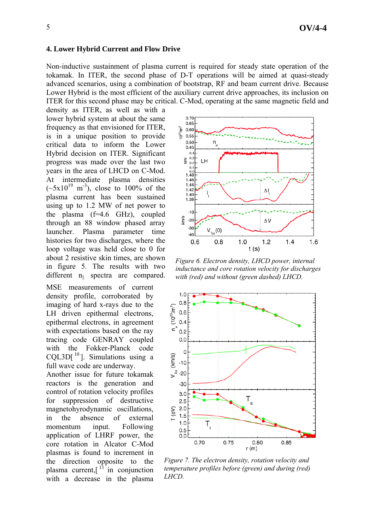## **4. Lower Hybrid Current and Flow Drive**

Non-inductive sustainment of plasma current is required for steady state operation of the tokamak. In ITER, the second phase of D-T operations will be aimed at quasi-steady advanced scenarios, using a combination of bootstrap, RF and beam current drive. Because Lower Hybrid is the most efficient of the auxiliary current drive approaches, its inclusion on ITER for this second phase may be critical. C-Mod, operating at the same magnetic field and

density as ITER, as well as with a lower hybrid system at about the same frequency as that envisioned for ITER, is in a unique position to provide critical data to inform the Lower Hybrid decision on ITER. Significant progress was made over the last two years in the area of LHCD on C-Mod. At intermediate plasma densities  $(-5x10^{19} \text{ m}^3)$ , close to 100% of the plasma current has been sustained using up to 1.2 MW of net power to the plasma (f=4.6 GHz), coupled through an 88 window phased array launcher. Plasma parameter time histories for two discharges, where the loop voltage was held close to 0 for about 2 resistive skin times, are shown in figure 5. The results with two different n<sub>||</sub> spectra are compared.

MSE measurements of current density profile, corroborated by imaging of hard x-rays due to the LH driven epithermal electrons, epithermal electrons, in agreement with expectations based on the ray tracing code GENRAY coupled with the Fokker-Planck code CQL3D $[$ <sup>10</sup>]. Simulations using a full wave code are underway.

Another issue for future tokamak reactors is the generation and control of rotation velocity profiles for suppression of destructive magnetohyrodynamic oscillations, in the absence of external momentum input. Following application of LHRF power, the core rotation in Alcator C-Mod plasmas is found to increment in the direction opposite to the plasma current, $\left[ \begin{array}{ccc} 11 \end{array} \right]$  in conjunction with a decrease in the plasma



*Figure 6. Electron density, LHCD power, internal inductance and core rotation velocity for discharges with (red) and without (green dashed) LHCD.* 



*Figure 7. The electron density, rotation velocity and temperature profiles before (green) and during (red) LHCD.*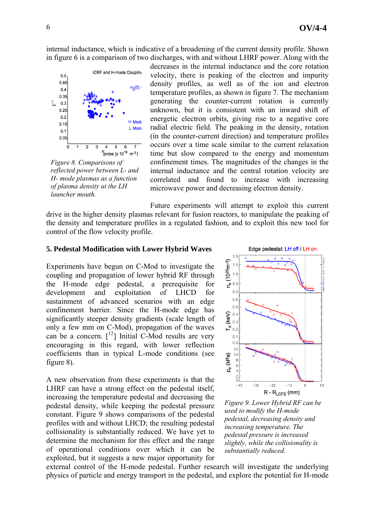internal inductance, which is indicative of a broadening of the current density profile. Shown in figure 6 is a comparison of two discharges, with and without LHRF power. Along with the



*Figure 8. Comparisons of reflected power between L- and H- mode plasmas as a function of plasma density at the LH launcher mouth.* 

decreases in the internal inductance and the core rotation velocity, there is peaking of the electron and impurity density profiles, as well as of the ion and electron temperature profiles, as shown in figure 7. The mechanism generating the counter-current rotation is currently unknown, but it is consistent with an inward shift of energetic electron orbits, giving rise to a negative core radial electric field. The peaking in the density, rotation (in the counter-current direction) and temperature profiles occurs over a time scale similar to the current relaxation time but slow compared to the energy and momentum confinement times. The magnitudes of the changes in the internal inductance and the central rotation velocity are correlated and found to increase with increasing microwave power and decreasing electron density.

Future experiments will attempt to exploit this current drive in the higher density plasmas relevant for fusion reactors, to manipulate the peaking of the density and temperature profiles in a regulated fashion, and to exploit this new tool for control of the flow velocity profile.

#### **5. Pedestal Modification with Lower Hybrid Waves**

Experiments have begun on C-Mod to investigate the coupling and propagation of lower hybrid RF through the H-mode edge pedestal, a prerequisite for development and exploitation of LHCD for sustainment of advanced scenarios with an edge confinement barrier. Since the H-mode edge has significantly steeper density gradients (scale length of only a few mm on C-Mod), propagation of the waves can be a concern.  $\lceil^{12}\rceil$  Initial C-Mod results are very encouraging in this regard, with lower reflection coefficients than in typical L-mode conditions (see figure 8).

A new observation from these experiments is that the LHRF can have a strong effect on the pedestal itself, increasing the temperature pedestal and decreasing the pedestal density, while keeping the pedestal pressure constant. Figure 9 shows comparisons of the pedestal profiles with and without LHCD; the resulting pedestal collisionality is substantially reduced. We have yet to determine the mechanism for this effect and the range of operational conditions over which it can be exploited, but it suggests a new major opportunity for



*Figure 9. Lower Hybrid RF can be used to modify the H-mode pedestal, decreasing density and increasing temperature. The pedestal pressure is increased slightly, while the collisionality is substantially reduced.*

external control of the H-mode pedestal. Further research will investigate the underlying physics of particle and energy transport in the pedestal, and explore the potential for H-mode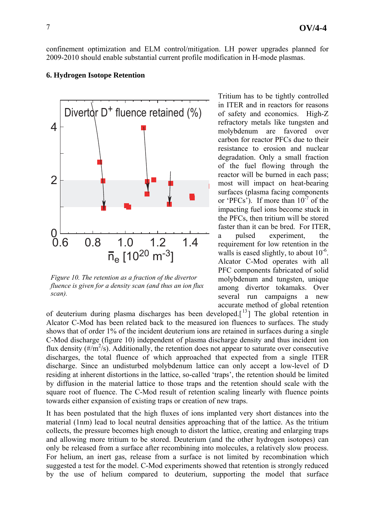confinement optimization and ELM control/mitigation. LH power upgrades planned for 2009-2010 should enable substantial current profile modification in H-mode plasmas.

#### **6. Hydrogen Isotope Retention**



*Figure 10. The retention as a fraction of the divertor fluence is given for a density scan (and thus an ion flux scan).*

Tritium has to be tightly controlled in ITER and in reactors for reasons of safety and economics. High-Z refractory metals like tungsten and molybdenum are favored over carbon for reactor PFCs due to their resistance to erosion and nuclear degradation. Only a small fraction of the fuel flowing through the reactor will be burned in each pass; most will impact on heat-bearing surfaces (plasma facing components or 'PFCs'). If more than  $10^{-7}$  of the impacting fuel ions become stuck in the PFCs, then tritium will be stored faster than it can be bred. For ITER, a pulsed experiment, the requirement for low retention in the walls is eased slightly, to about  $10^{-6}$ . Alcator C-Mod operates with all PFC components fabricated of solid molybdenum and tungsten, unique among divertor tokamaks. Over several run campaigns a new accurate method of global retention

of deuterium during plasma discharges has been developed.<sup>[13</sup>] The global retention in Alcator C-Mod has been related back to the measured ion fluences to surfaces. The study shows that of order 1% of the incident deuterium ions are retained in surfaces during a single C-Mod discharge (figure 10) independent of plasma discharge density and thus incident ion flux density  $(\frac{\#}{m^2/s})$ . Additionally, the retention does not appear to saturate over consecutive discharges, the total fluence of which approached that expected from a single ITER discharge. Since an undisturbed molybdenum lattice can only accept a low-level of D residing at inherent distortions in the lattice, so-called 'traps', the retention should be limited by diffusion in the material lattice to those traps and the retention should scale with the square root of fluence. The C-Mod result of retention scaling linearly with fluence points towards either expansion of existing traps or creation of new traps.

It has been postulated that the high fluxes of ions implanted very short distances into the material (1nm) lead to local neutral densities approaching that of the lattice. As the tritium collects, the pressure becomes high enough to distort the lattice, creating and enlarging traps and allowing more tritium to be stored. Deuterium (and the other hydrogen isotopes) can only be released from a surface after recombining into molecules, a relatively slow process. For helium, an inert gas, release from a surface is not limited by recombination which suggested a test for the model. C-Mod experiments showed that retention is strongly reduced by the use of helium compared to deuterium, supporting the model that surface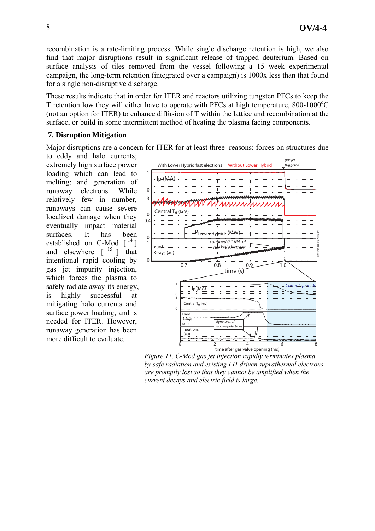recombination is a rate-limiting process. While single discharge retention is high, we also find that major disruptions result in significant release of trapped deuterium. Based on surface analysis of tiles removed from the vessel following a 15 week experimental campaign, the long-term retention (integrated over a campaign) is 1000x less than that found for a single non-disruptive discharge.

These results indicate that in order for ITER and reactors utilizing tungsten PFCs to keep the T retention low they will either have to operate with PFCs at high temperature,  $800-1000^{\circ}$ C (not an option for ITER) to enhance diffusion of T within the lattice and recombination at the surface, or build in some intermittent method of heating the plasma facing components.

## **7. Disruption Mitigation**

Major disruptions are a concern for ITER for at least three reasons: forces on structures due

to eddy and halo currents; extremely high surface power loading which can lead to melting; and generation of runaway electrons. While relatively few in number, runaways can cause severe localized damage when they eventually impact material surfaces. It has been established on C-Mod  $[14]$ and elsewhere  $\begin{bmatrix} 15 \\ 1 \end{bmatrix}$  that intentional rapid cooling by gas jet impurity injection, which forces the plasma to safely radiate away its energy, is highly successful at mitigating halo currents and surface power loading, and is needed for ITER. However, runaway generation has been more difficult to evaluate.



*Figure 11. C-Mod gas jet injection rapidly terminates plasma by safe radiation and existing LH-driven suprathermal electrons are promptly lost so that they cannot be amplified when the current decays and electric field is large.*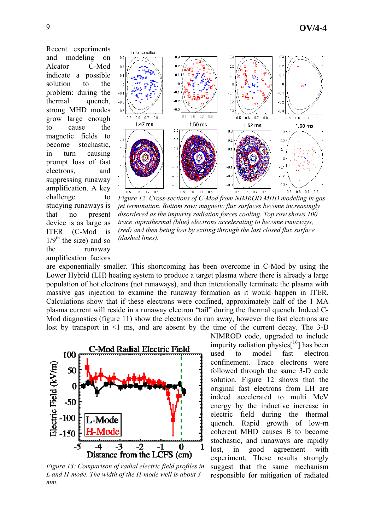Recent experiments and modeling on Alcator C-Mod indicate a possible solution to the problem: during the thermal quench, strong MHD modes grow large enough to cause the magnetic fields to become stochastic, in turn causing prompt loss of fast electrons, and suppressing runaway amplification. A key challenge to studying runaways is that no present device is as large as ITER (C-Mod is  $1/9<sup>th</sup>$  the size) and so the runaway amplification factors



*Figure 12. Cross-sections of C-Mod from NIMROD MHD modeling in gas jet termination. Bottom row: magnetic flux surfaces become increasingly disordered as the impurity radiation forces cooling. Top row shows 100 trace suprathermal (blue) electrons accelerating to become runaways, (red) and then being lost by exiting through the last closed flux surface (dashed lines).* 

are exponentially smaller. This shortcoming has been overcome in C-Mod by using the Lower Hybrid (LH) heating system to produce a target plasma where there is already a large population of hot electrons (not runaways), and then intentionally terminate the plasma with massive gas injection to examine the runaway formation as it would happen in ITER. Calculations show that if these electrons were confined, approximately half of the 1 MA plasma current will reside in a runaway electron "tail" during the thermal quench. Indeed C-Mod diagnostics (figure 11) show the electrons do run away, however the fast electrons are lost by transport in  $\leq 1$  ms, and are absent by the time of the current decay. The 3-D



*Figure 13: Comparison of radial electric field profiles in L and H-mode. The width of the H-mode well is about 3 mm.* 

NIMROD code, upgraded to include impurity radiation physics $[16]$  has been used to model fast electron confinement. Trace electrons were followed through the same 3-D code solution. Figure 12 shows that the original fast electrons from LH are indeed accelerated to multi MeV energy by the inductive increase in electric field during the thermal quench. Rapid growth of low-m coherent MHD causes B to become stochastic, and runaways are rapidly lost, in good agreement with experiment. These results strongly suggest that the same mechanism responsible for mitigation of radiated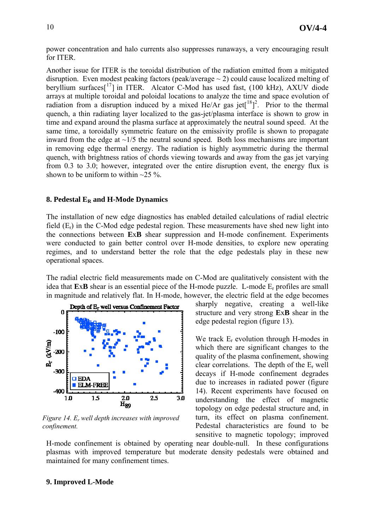power concentration and halo currents also suppresses runaways, a very encouraging result for ITER.

Another issue for ITER is the toroidal distribution of the radiation emitted from a mitigated disruption. Even modest peaking factors (peak/average  $\sim$  2) could cause localized melting of beryllium surfaces<sup>[17</sup>] in ITER. Alcator C-Mod has used fast, (100 kHz), AXUV diode arrays at multiple toroidal and poloidal locations to analyze the time and space evolution of radiation from a disruption induced by a mixed  $He/Ar$  gas jet $\lceil \sqrt[18]{2} \rceil$ . Prior to the thermal quench, a thin radiating layer localized to the gas-jet/plasma interface is shown to grow in time and expand around the plasma surface at approximately the neutral sound speed. At the same time, a toroidally symmetric feature on the emissivity profile is shown to propagate inward from the edge at  $\sim$ 1/5 the neutral sound speed. Both loss mechanisms are important in removing edge thermal energy. The radiation is highly asymmetric during the thermal quench, with brightness ratios of chords viewing towards and away from the gas jet varying from 0.3 to 3.0; however, integrated over the entire disruption event, the energy flux is shown to be uniform to within  $\sim$ 25 %.

#### **8. Pedestal ER and H-Mode Dynamics**

The installation of new edge diagnostics has enabled detailed calculations of radial electric field  $(E_r)$  in the C-Mod edge pedestal region. These measurements have shed new light into the connections between **E**x**B** shear suppression and H-mode confinement. Experiments were conducted to gain better control over H-mode densities, to explore new operating regimes, and to understand better the role that the edge pedestals play in these new operational spaces.

The radial electric field measurements made on C-Mod are qualitatively consistent with the idea that **E**x**B** shear is an essential piece of the H-mode puzzle. L-mode Er profiles are small in magnitude and relatively flat. In H-mode, however, the electric field at the edge becomes



*Figure 14. Er well depth increases with improved confinement.* 

sharply negative, creating a well-like structure and very strong **E**x**B** shear in the edge pedestal region (figure 13).

We track  $E_r$  evolution through H-modes in which there are significant changes to the quality of the plasma confinement, showing clear correlations. The depth of the Er well decays if H-mode confinement degrades due to increases in radiated power (figure 14). Recent experiments have focused on understanding the effect of magnetic topology on edge pedestal structure and, in turn, its effect on plasma confinement. Pedestal characteristics are found to be sensitive to magnetic topology; improved

H-mode confinement is obtained by operating near double-null. In these configurations plasmas with improved temperature but moderate density pedestals were obtained and maintained for many confinement times.

#### **9. Improved L-Mode**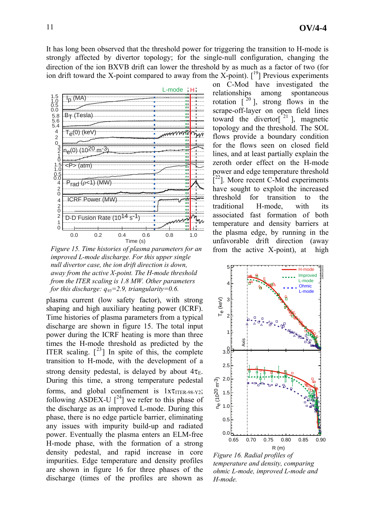It has long been observed that the threshold power for triggering the transition to H-mode is strongly affected by divertor topology; for the single-null configuration, changing the direction of the ion BX∇B drift can lower the threshold by as much as a factor of two (for ion drift toward the X-point compared to away from the X-point).  $\lceil \frac{19}{7} \rceil$  Previous experiments



*Figure 15. Time histories of plasma parameters for an improved L-mode discharge. For this upper single null divertor case, the ion drift direction is down, away from the active X-point. The H-mode threshold from the ITER scaling is 1.8 MW. Other parameters for this discharge: q95=2.9, triangularity=0.6.* 

plasma current (low safety factor), with strong shaping and high auxiliary heating power (ICRF). Time histories of plasma parameters from a typical discharge are shown in figure 15. The total input power during the ICRF heating is more than three times the H-mode threshold as predicted by the ITER scaling.  $\lceil^{23}\rceil$  In spite of this, the complete transition to H-mode, with the development of a strong density pedestal, is delayed by about  $4\tau_{E}$ . During this time, a strong temperature pedestal forms, and global confinement is  $1x\tau_{ITER-98-Y2}$ ; following ASDEX-U  $\lceil^{24}\rceil$  we refer to this phase of the discharge as an improved L-mode. During this phase, there is no edge particle barrier, eliminating any issues with impurity build-up and radiated power. Eventually the plasma enters an ELM-free H-mode phase, with the formation of a strong density pedestal, and rapid increase in core impurities. Edge temperature and density profiles are shown in figure 16 for three phases of the discharge (times of the profiles are shown as

on C-Mod have investigated the relationships among spontaneous rotation  $\left[ \begin{array}{cc} 20 \\ 1 \end{array} \right]$ , strong flows in the scrape-off-layer on open field lines toward the divertor<sup>[21</sup>], magnetic topology and the threshold. The SOL flows provide a boundary condition for the flows seen on closed field lines, and at least partially explain the zeroth order effect on the H-mode power and edge temperature threshold  $[$ <sup>22</sup>]. More recent C-Mod experiments have sought to exploit the increased threshold for transition to the traditional H-mode, with its associated fast formation of both temperature and density barriers at the plasma edge, by running in the unfavorable drift direction (away from the active X-point), at high



*Figure 16. Radial profiles of temperature and density, comparing ohmic L-mode, improved L-mode and H-mode.*